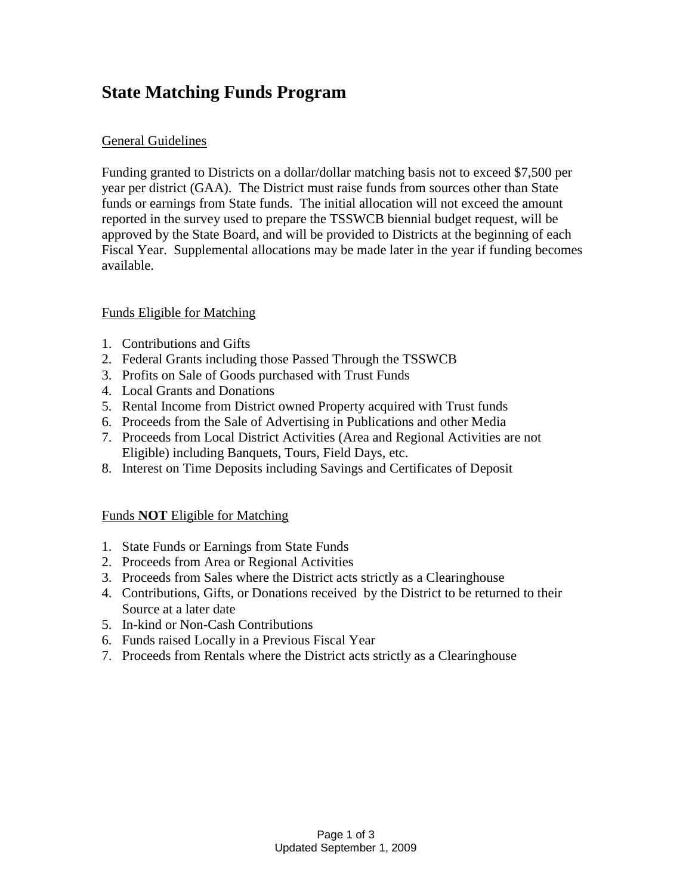# **State Matching Funds Program**

## General Guidelines

Funding granted to Districts on a dollar/dollar matching basis not to exceed \$7,500 per year per district (GAA). The District must raise funds from sources other than State funds or earnings from State funds. The initial allocation will not exceed the amount reported in the survey used to prepare the TSSWCB biennial budget request, will be approved by the State Board, and will be provided to Districts at the beginning of each Fiscal Year. Supplemental allocations may be made later in the year if funding becomes available.

## Funds Eligible for Matching

- 1. Contributions and Gifts
- 2. Federal Grants including those Passed Through the TSSWCB
- 3. Profits on Sale of Goods purchased with Trust Funds
- 4. Local Grants and Donations
- 5. Rental Income from District owned Property acquired with Trust funds
- 6. Proceeds from the Sale of Advertising in Publications and other Media
- 7. Proceeds from Local District Activities (Area and Regional Activities are not Eligible) including Banquets, Tours, Field Days, etc.
- 8. Interest on Time Deposits including Savings and Certificates of Deposit

#### Funds **NOT** Eligible for Matching

- 1. State Funds or Earnings from State Funds
- 2. Proceeds from Area or Regional Activities
- 3. Proceeds from Sales where the District acts strictly as a Clearinghouse
- 4. Contributions, Gifts, or Donations received by the District to be returned to their Source at a later date
- 5. In-kind or Non-Cash Contributions
- 6. Funds raised Locally in a Previous Fiscal Year
- 7. Proceeds from Rentals where the District acts strictly as a Clearinghouse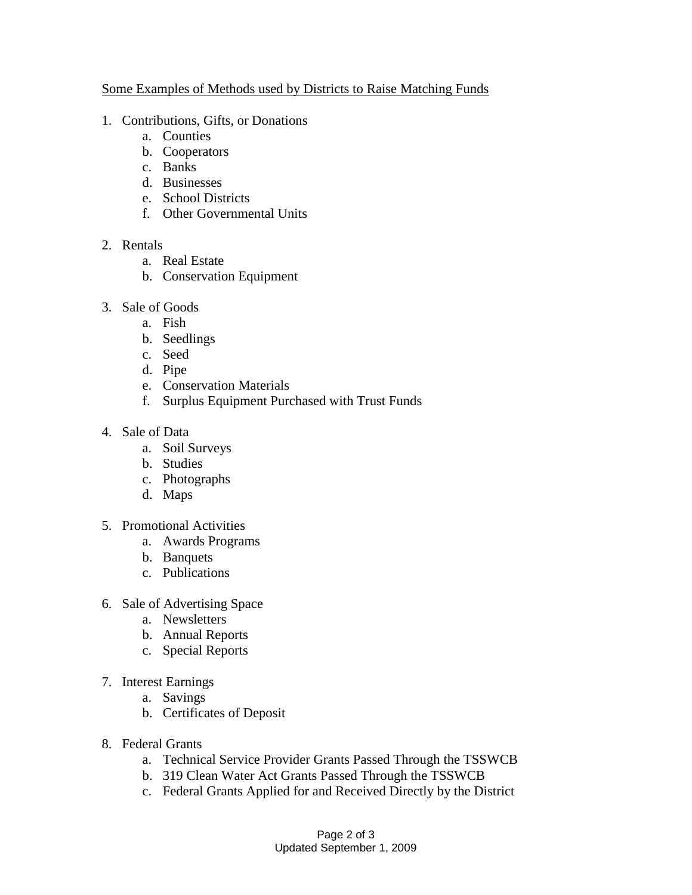#### Some Examples of Methods used by Districts to Raise Matching Funds

- 1. Contributions, Gifts, or Donations
	- a. Counties
	- b. Cooperators
	- c. Banks
	- d. Businesses
	- e. School Districts
	- f. Other Governmental Units
- 2. Rentals
	- a. Real Estate
	- b. Conservation Equipment
- 3. Sale of Goods
	- a. Fish
	- b. Seedlings
	- c. Seed
	- d. Pipe
	- e. Conservation Materials
	- f. Surplus Equipment Purchased with Trust Funds
- 4. Sale of Data
	- a. Soil Surveys
	- b. Studies
	- c. Photographs
	- d. Maps
- 5. Promotional Activities
	- a. Awards Programs
	- b. Banquets
	- c. Publications
- 6. Sale of Advertising Space
	- a. Newsletters
	- b. Annual Reports
	- c. Special Reports
- 7. Interest Earnings
	- a. Savings
	- b. Certificates of Deposit
- 8. Federal Grants
	- a. Technical Service Provider Grants Passed Through the TSSWCB
	- b. 319 Clean Water Act Grants Passed Through the TSSWCB
	- c. Federal Grants Applied for and Received Directly by the District